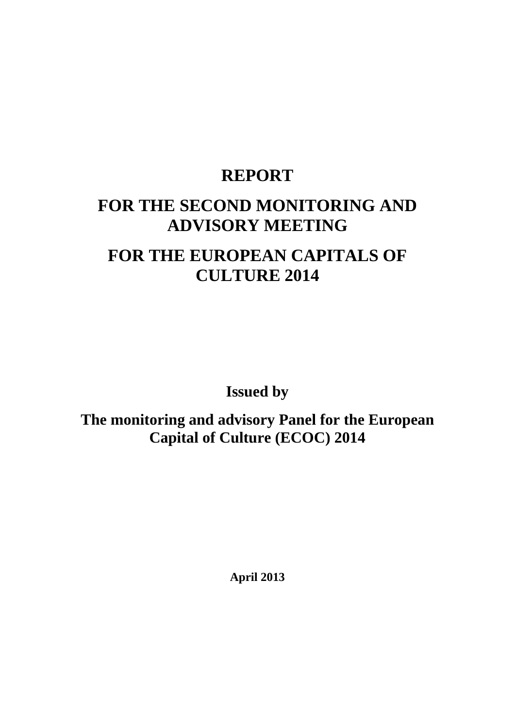## **REPORT**

# **FOR THE SECOND MONITORING AND ADVISORY MEETING**

# **FOR THE EUROPEAN CAPITALS OF CULTURE 2014**

**Issued by** 

**The monitoring and advisory Panel for the European Capital of Culture (ECOC) 2014**

**April 2013**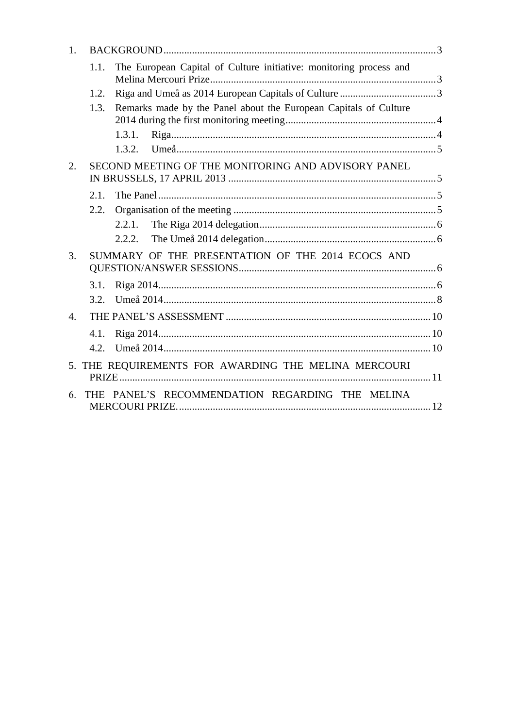| 1.                    |      |                                                                    |  |
|-----------------------|------|--------------------------------------------------------------------|--|
|                       | 1.1. | The European Capital of Culture initiative: monitoring process and |  |
|                       | 1.2. |                                                                    |  |
|                       | 1.3. | Remarks made by the Panel about the European Capitals of Culture   |  |
|                       |      | 1.3.1.                                                             |  |
|                       |      | 1.3.2                                                              |  |
| 2.                    |      | SECOND MEETING OF THE MONITORING AND ADVISORY PANEL                |  |
|                       | 2.1. |                                                                    |  |
|                       | 2.2. |                                                                    |  |
|                       |      | 2.2.1.                                                             |  |
|                       |      | 2.2.2.                                                             |  |
| 3.                    |      | SUMMARY OF THE PRESENTATION OF THE 2014 ECOCS AND                  |  |
|                       | 3.1. |                                                                    |  |
|                       | 3.2. |                                                                    |  |
| $\mathcal{A}_{\cdot}$ |      |                                                                    |  |
|                       | 4.1. |                                                                    |  |
|                       | 4.2. |                                                                    |  |
| 5 <sub>1</sub>        |      | THE REQUIREMENTS FOR AWARDING THE MELINA MERCOURI                  |  |
| 6                     | THE. | PANEL'S RECOMMENDATION REGARDING THE MELINA                        |  |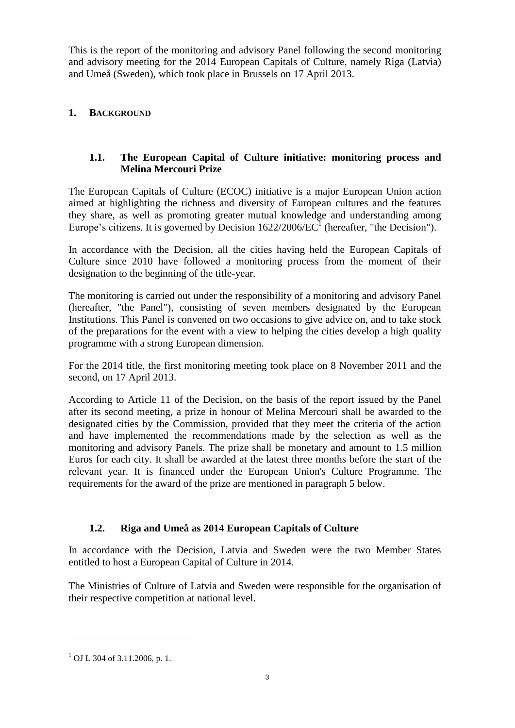This is the report of the monitoring and advisory Panel following the second monitoring and advisory meeting for the 2014 European Capitals of Culture, namely Riga (Latvia) and Umeå (Sweden), which took place in Brussels on 17 April 2013.

## <span id="page-2-0"></span>**1. BACKGROUND**

## <span id="page-2-1"></span>**1.1. The European Capital of Culture initiative: monitoring process and Melina Mercouri Prize**

The European Capitals of Culture (ECOC) initiative is a major European Union action aimed at highlighting the richness and diversity of European cultures and the features they share, as well as promoting greater mutual knowledge and understanding among Europe's citizens. It is governed by Decision  $1622/2006/EC^1$  (hereafter, "the Decision").

In accordance with the Decision, all the cities having held the European Capitals of Culture since 2010 have followed a monitoring process from the moment of their designation to the beginning of the title-year.

The monitoring is carried out under the responsibility of a monitoring and advisory Panel (hereafter, "the Panel"), consisting of seven members designated by the European Institutions. This Panel is convened on two occasions to give advice on, and to take stock of the preparations for the event with a view to helping the cities develop a high quality programme with a strong European dimension.

For the 2014 title, the first monitoring meeting took place on 8 November 2011 and the second, on 17 April 2013.

According to Article 11 of the Decision, on the basis of the report issued by the Panel after its second meeting, a prize in honour of Melina Mercouri shall be awarded to the designated cities by the Commission, provided that they meet the criteria of the action and have implemented the recommendations made by the selection as well as the monitoring and advisory Panels. The prize shall be monetary and amount to 1.5 million Euros for each city. It shall be awarded at the latest three months before the start of the relevant year. It is financed under the European Union's Culture Programme. The requirements for the award of the prize are mentioned in paragraph 5 below.

## <span id="page-2-2"></span>**1.2. Riga and Umeå as 2014 European Capitals of Culture**

In accordance with the Decision, Latvia and Sweden were the two Member States entitled to host a European Capital of Culture in 2014.

The Ministries of Culture of Latvia and Sweden were responsible for the organisation of their respective competition at national level.

 $\overline{a}$ 

 $1$  OJ L 304 of 3.11.2006, p. 1.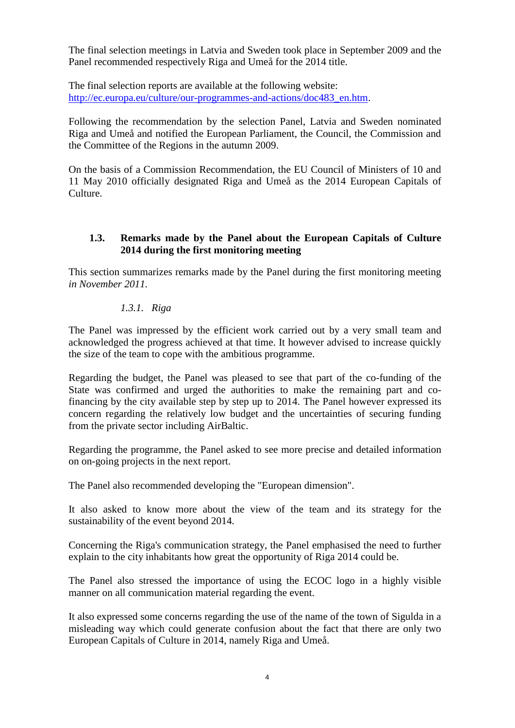The final selection meetings in Latvia and Sweden took place in September 2009 and the Panel recommended respectively Riga and Umeå for the 2014 title.

The final selection reports are available at the following website: [http://ec.europa.eu/culture/our-programmes-and-actions/doc483\\_en.htm.](http://ec.europa.eu/culture/our-programmes-and-actions/doc483_en.htm)

Following the recommendation by the selection Panel, Latvia and Sweden nominated Riga and Umeå and notified the European Parliament, the Council, the Commission and the Committee of the Regions in the autumn 2009.

On the basis of a Commission Recommendation, the EU Council of Ministers of 10 and 11 May 2010 officially designated Riga and Umeå as the 2014 European Capitals of Culture.

#### <span id="page-3-0"></span>**1.3. Remarks made by the Panel about the European Capitals of Culture 2014 during the first monitoring meeting**

This section summarizes remarks made by the Panel during the first monitoring meeting *in November 2011.*

## *1.3.1. Riga*

<span id="page-3-1"></span>The Panel was impressed by the efficient work carried out by a very small team and acknowledged the progress achieved at that time. It however advised to increase quickly the size of the team to cope with the ambitious programme.

Regarding the budget, the Panel was pleased to see that part of the co-funding of the State was confirmed and urged the authorities to make the remaining part and cofinancing by the city available step by step up to 2014. The Panel however expressed its concern regarding the relatively low budget and the uncertainties of securing funding from the private sector including AirBaltic.

Regarding the programme, the Panel asked to see more precise and detailed information on on-going projects in the next report.

The Panel also recommended developing the "European dimension".

It also asked to know more about the view of the team and its strategy for the sustainability of the event beyond 2014.

Concerning the Riga's communication strategy, the Panel emphasised the need to further explain to the city inhabitants how great the opportunity of Riga 2014 could be.

The Panel also stressed the importance of using the ECOC logo in a highly visible manner on all communication material regarding the event.

It also expressed some concerns regarding the use of the name of the town of Sigulda in a misleading way which could generate confusion about the fact that there are only two European Capitals of Culture in 2014, namely Riga and Umeå.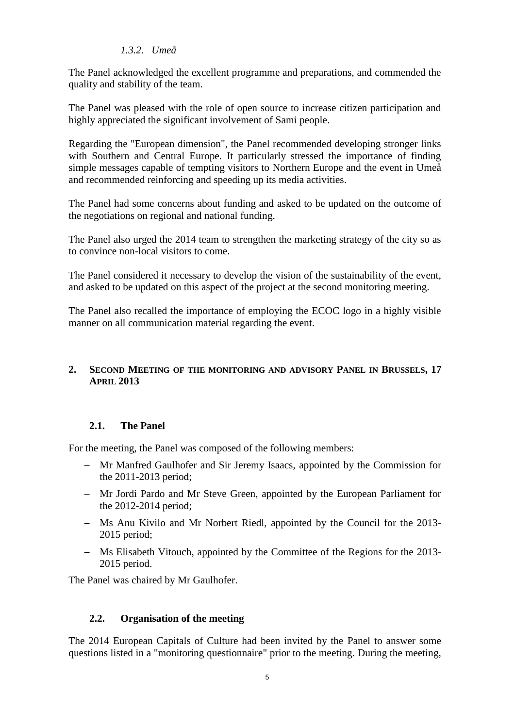#### *1.3.2. Umeå*

<span id="page-4-0"></span>The Panel acknowledged the excellent programme and preparations, and commended the quality and stability of the team.

The Panel was pleased with the role of open source to increase citizen participation and highly appreciated the significant involvement of Sami people.

Regarding the "European dimension", the Panel recommended developing stronger links with Southern and Central Europe. It particularly stressed the importance of finding simple messages capable of tempting visitors to Northern Europe and the event in Umeå and recommended reinforcing and speeding up its media activities.

The Panel had some concerns about funding and asked to be updated on the outcome of the negotiations on regional and national funding.

The Panel also urged the 2014 team to strengthen the marketing strategy of the city so as to convince non-local visitors to come.

The Panel considered it necessary to develop the vision of the sustainability of the event, and asked to be updated on this aspect of the project at the second monitoring meeting.

The Panel also recalled the importance of employing the ECOC logo in a highly visible manner on all communication material regarding the event.

#### <span id="page-4-1"></span>**2. SECOND MEETING OF THE MONITORING AND ADVISORY PANEL IN BRUSSELS, 17 APRIL 2013**

## <span id="page-4-2"></span>**2.1. The Panel**

For the meeting, the Panel was composed of the following members:

- Mr Manfred Gaulhofer and Sir Jeremy Isaacs, appointed by the Commission for the 2011-2013 period;
- Mr Jordi Pardo and Mr Steve Green, appointed by the European Parliament for the 2012-2014 period;
- Ms Anu Kivilo and Mr Norbert Riedl, appointed by the Council for the 2013-2015 period;
- Ms Elisabeth Vitouch, appointed by the Committee of the Regions for the 2013- 2015 period.

The Panel was chaired by Mr Gaulhofer.

## <span id="page-4-3"></span>**2.2. Organisation of the meeting**

The 2014 European Capitals of Culture had been invited by the Panel to answer some questions listed in a "monitoring questionnaire" prior to the meeting. During the meeting,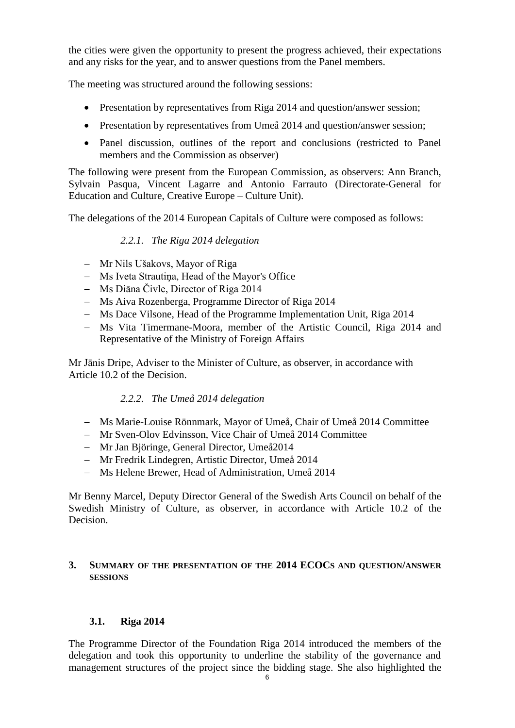the cities were given the opportunity to present the progress achieved, their expectations and any risks for the year, and to answer questions from the Panel members.

The meeting was structured around the following sessions:

- Presentation by representatives from Riga 2014 and question/answer session;
- Presentation by representatives from Umeå 2014 and question/answer session;
- Panel discussion, outlines of the report and conclusions (restricted to Panel members and the Commission as observer)

The following were present from the European Commission, as observers: Ann Branch, Sylvain Pasqua, Vincent Lagarre and Antonio Farrauto (Directorate-General for Education and Culture, Creative Europe – Culture Unit).

<span id="page-5-0"></span>The delegations of the 2014 European Capitals of Culture were composed as follows:

#### *2.2.1. The Riga 2014 delegation*

- Mr Nils Ušakovs, Mayor of Riga
- Ms Iveta Strautina, Head of the Mayor's Office
- Ms Diāna Čivle, Director of Riga 2014
- Ms Aiva Rozenberga, Programme Director of Riga 2014
- Ms Dace Vilsone, Head of the Programme Implementation Unit, Riga 2014
- Ms Vita Timermane-Moora, member of the Artistic Council, Riga 2014 and Representative of the Ministry of Foreign Affairs

Mr Jānis Dripe, Adviser to the Minister of Culture, as observer, in accordance with Article 10.2 of the Decision.

## *2.2.2. The Umeå 2014 delegation*

- <span id="page-5-1"></span>Ms Marie-Louise Rönnmark, Mayor of Umeå, Chair of Umeå 2014 Committee
- Mr Sven-Olov Edvinsson, Vice Chair of Umeå 2014 Committee
- Mr Jan Björinge, General Director, Umeå2014
- Mr Fredrik Lindegren, Artistic Director, Umeå 2014
- Ms Helene Brewer, Head of Administration, Umeå 2014

Mr Benny Marcel, Deputy Director General of the Swedish Arts Council on behalf of the Swedish Ministry of Culture, as observer, in accordance with Article 10.2 of the Decision.

#### <span id="page-5-2"></span>**3. SUMMARY OF THE PRESENTATION OF THE 2014 ECOCS AND QUESTION/ANSWER SESSIONS**

#### <span id="page-5-3"></span>**3.1. Riga 2014**

The Programme Director of the Foundation Riga 2014 introduced the members of the delegation and took this opportunity to underline the stability of the governance and management structures of the project since the bidding stage. She also highlighted the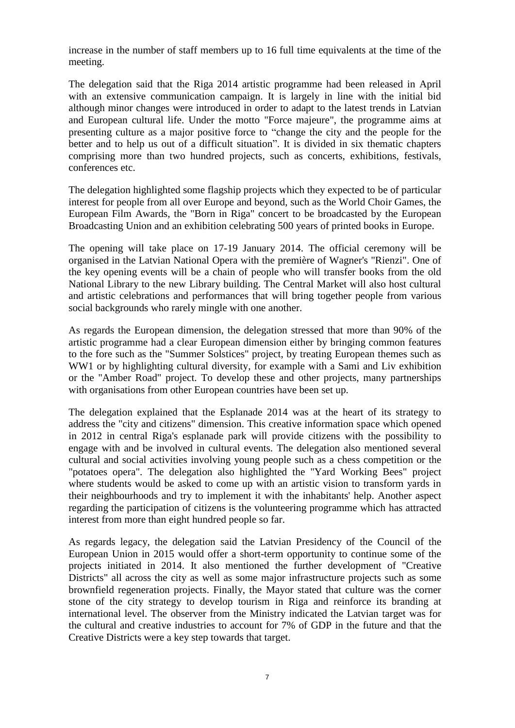increase in the number of staff members up to 16 full time equivalents at the time of the meeting.

The delegation said that the Riga 2014 artistic programme had been released in April with an extensive communication campaign. It is largely in line with the initial bid although minor changes were introduced in order to adapt to the latest trends in Latvian and European cultural life. Under the motto "Force majeure", the programme aims at presenting culture as a major positive force to "change the city and the people for the better and to help us out of a difficult situation". It is divided in six thematic chapters comprising more than two hundred projects, such as concerts, exhibitions, festivals, conferences etc.

The delegation highlighted some flagship projects which they expected to be of particular interest for people from all over Europe and beyond, such as the World Choir Games, the European Film Awards, the "Born in Riga" concert to be broadcasted by the European Broadcasting Union and an exhibition celebrating 500 years of printed books in Europe.

The opening will take place on 17-19 January 2014. The official ceremony will be organised in the Latvian National Opera with the première of Wagner's "Rienzi". One of the key opening events will be a chain of people who will transfer books from the old National Library to the new Library building. The Central Market will also host cultural and artistic celebrations and performances that will bring together people from various social backgrounds who rarely mingle with one another.

As regards the European dimension, the delegation stressed that more than 90% of the artistic programme had a clear European dimension either by bringing common features to the fore such as the "Summer Solstices" project, by treating European themes such as WW1 or by highlighting cultural diversity, for example with a Sami and Liv exhibition or the "Amber Road" project. To develop these and other projects, many partnerships with organisations from other European countries have been set up.

The delegation explained that the Esplanade 2014 was at the heart of its strategy to address the "city and citizens" dimension. This creative information space which opened in 2012 in central Riga's esplanade park will provide citizens with the possibility to engage with and be involved in cultural events. The delegation also mentioned several cultural and social activities involving young people such as a chess competition or the "potatoes opera". The delegation also highlighted the "Yard Working Bees" project where students would be asked to come up with an artistic vision to transform yards in their neighbourhoods and try to implement it with the inhabitants' help. Another aspect regarding the participation of citizens is the volunteering programme which has attracted interest from more than eight hundred people so far.

As regards legacy, the delegation said the Latvian Presidency of the Council of the European Union in 2015 would offer a short-term opportunity to continue some of the projects initiated in 2014. It also mentioned the further development of "Creative Districts" all across the city as well as some major infrastructure projects such as some brownfield regeneration projects. Finally, the Mayor stated that culture was the corner stone of the city strategy to develop tourism in Riga and reinforce its branding at international level. The observer from the Ministry indicated the Latvian target was for the cultural and creative industries to account for 7% of GDP in the future and that the Creative Districts were a key step towards that target.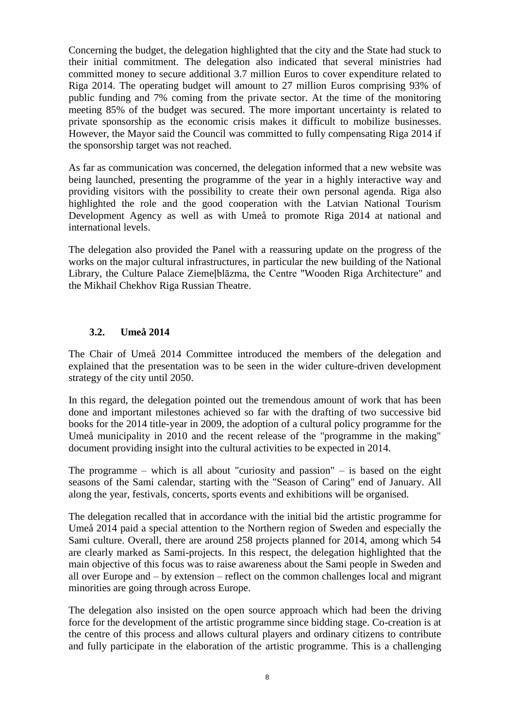Concerning the budget, the delegation highlighted that the city and the State had stuck to their initial commitment. The delegation also indicated that several ministries had committed money to secure additional 3.7 million Euros to cover expenditure related to Riga 2014. The operating budget will amount to 27 million Euros comprising 93% of public funding and 7% coming from the private sector. At the time of the monitoring meeting 85% of the budget was secured. The more important uncertainty is related to private sponsorship as the economic crisis makes it difficult to mobilize businesses. However, the Mayor said the Council was committed to fully compensating Riga 2014 if the sponsorship target was not reached.

As far as communication was concerned, the delegation informed that a new website was being launched, presenting the programme of the year in a highly interactive way and providing visitors with the possibility to create their own personal agenda. Riga also highlighted the role and the good cooperation with the Latvian National Tourism Development Agency as well as with Umeå to promote Riga 2014 at national and international levels.

The delegation also provided the Panel with a reassuring update on the progress of the works on the major cultural infrastructures, in particular the new building of the National Library, the Culture Palace Ziemeļblāzma, the Centre "Wooden Riga Architecture" and the Mikhail Chekhov Riga Russian Theatre.

#### <span id="page-7-0"></span>**3.2. Umeå 2014**

The Chair of Umeå 2014 Committee introduced the members of the delegation and explained that the presentation was to be seen in the wider culture-driven development strategy of the city until 2050.

In this regard, the delegation pointed out the tremendous amount of work that has been done and important milestones achieved so far with the drafting of two successive bid books for the 2014 title-year in 2009, the adoption of a cultural policy programme for the Umeå municipality in 2010 and the recent release of the "programme in the making" document providing insight into the cultural activities to be expected in 2014.

The programme – which is all about "curiosity and passion" – is based on the eight seasons of the Sami calendar, starting with the "Season of Caring" end of January. All along the year, festivals, concerts, sports events and exhibitions will be organised.

The delegation recalled that in accordance with the initial bid the artistic programme for Umeå 2014 paid a special attention to the Northern region of Sweden and especially the Sami culture. Overall, there are around 258 projects planned for 2014, among which 54 are clearly marked as Sami-projects. In this respect, the delegation highlighted that the main objective of this focus was to raise awareness about the Sami people in Sweden and all over Europe and – by extension – reflect on the common challenges local and migrant minorities are going through across Europe.

The delegation also insisted on the open source approach which had been the driving force for the development of the artistic programme since bidding stage. Co-creation is at the centre of this process and allows cultural players and ordinary citizens to contribute and fully participate in the elaboration of the artistic programme. This is a challenging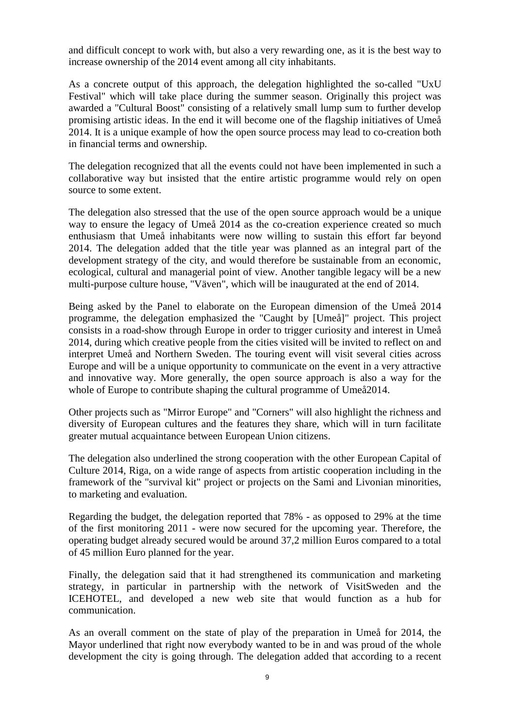and difficult concept to work with, but also a very rewarding one, as it is the best way to increase ownership of the 2014 event among all city inhabitants.

As a concrete output of this approach, the delegation highlighted the so-called "UxU Festival" which will take place during the summer season. Originally this project was awarded a "Cultural Boost" consisting of a relatively small lump sum to further develop promising artistic ideas. In the end it will become one of the flagship initiatives of Umeå 2014. It is a unique example of how the open source process may lead to co-creation both in financial terms and ownership.

The delegation recognized that all the events could not have been implemented in such a collaborative way but insisted that the entire artistic programme would rely on open source to some extent.

The delegation also stressed that the use of the open source approach would be a unique way to ensure the legacy of Umeå 2014 as the co-creation experience created so much enthusiasm that Umeå inhabitants were now willing to sustain this effort far beyond 2014. The delegation added that the title year was planned as an integral part of the development strategy of the city, and would therefore be sustainable from an economic, ecological, cultural and managerial point of view. Another tangible legacy will be a new multi-purpose culture house, "Väven", which will be inaugurated at the end of 2014.

Being asked by the Panel to elaborate on the European dimension of the Umeå 2014 programme, the delegation emphasized the "Caught by [Umeå]" project. This project consists in a road-show through Europe in order to trigger curiosity and interest in Umeå 2014, during which creative people from the cities visited will be invited to reflect on and interpret Umeå and Northern Sweden. The touring event will visit several cities across Europe and will be a unique opportunity to communicate on the event in a very attractive and innovative way. More generally, the open source approach is also a way for the whole of Europe to contribute shaping the cultural programme of Umeå2014.

Other projects such as "Mirror Europe" and "Corners" will also highlight the richness and diversity of European cultures and the features they share, which will in turn facilitate greater mutual acquaintance between European Union citizens.

The delegation also underlined the strong cooperation with the other European Capital of Culture 2014, Riga, on a wide range of aspects from artistic cooperation including in the framework of the "survival kit" project or projects on the Sami and Livonian minorities, to marketing and evaluation.

Regarding the budget, the delegation reported that 78% - as opposed to 29% at the time of the first monitoring 2011 - were now secured for the upcoming year. Therefore, the operating budget already secured would be around 37,2 million Euros compared to a total of 45 million Euro planned for the year.

Finally, the delegation said that it had strengthened its communication and marketing strategy, in particular in partnership with the network of VisitSweden and the ICEHOTEL, and developed a new web site that would function as a hub for communication.

As an overall comment on the state of play of the preparation in Umeå for 2014, the Mayor underlined that right now everybody wanted to be in and was proud of the whole development the city is going through. The delegation added that according to a recent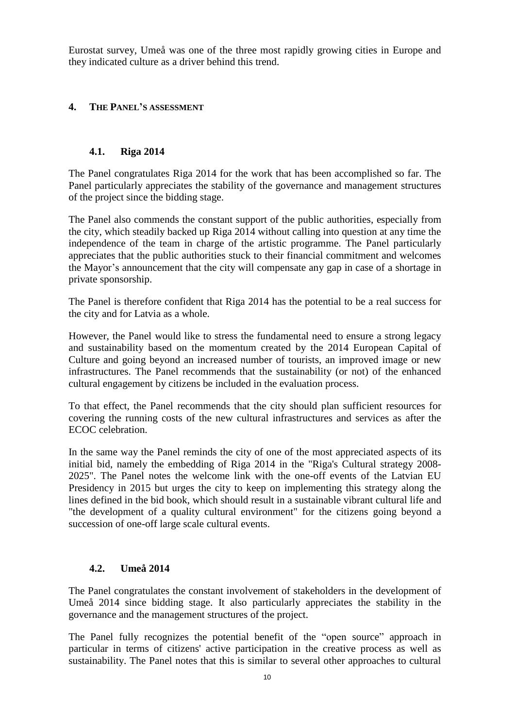Eurostat survey, Umeå was one of the three most rapidly growing cities in Europe and they indicated culture as a driver behind this trend.

#### <span id="page-9-0"></span>**4. THE PANEL'S ASSESSMENT**

#### <span id="page-9-1"></span>**4.1. Riga 2014**

The Panel congratulates Riga 2014 for the work that has been accomplished so far. The Panel particularly appreciates the stability of the governance and management structures of the project since the bidding stage.

The Panel also commends the constant support of the public authorities, especially from the city, which steadily backed up Riga 2014 without calling into question at any time the independence of the team in charge of the artistic programme. The Panel particularly appreciates that the public authorities stuck to their financial commitment and welcomes the Mayor's announcement that the city will compensate any gap in case of a shortage in private sponsorship.

The Panel is therefore confident that Riga 2014 has the potential to be a real success for the city and for Latvia as a whole.

However, the Panel would like to stress the fundamental need to ensure a strong legacy and sustainability based on the momentum created by the 2014 European Capital of Culture and going beyond an increased number of tourists, an improved image or new infrastructures. The Panel recommends that the sustainability (or not) of the enhanced cultural engagement by citizens be included in the evaluation process.

To that effect, the Panel recommends that the city should plan sufficient resources for covering the running costs of the new cultural infrastructures and services as after the ECOC celebration.

In the same way the Panel reminds the city of one of the most appreciated aspects of its initial bid, namely the embedding of Riga 2014 in the "Riga's Cultural strategy 2008- 2025". The Panel notes the welcome link with the one-off events of the Latvian EU Presidency in 2015 but urges the city to keep on implementing this strategy along the lines defined in the bid book, which should result in a sustainable vibrant cultural life and "the development of a quality cultural environment" for the citizens going beyond a succession of one-off large scale cultural events.

#### <span id="page-9-2"></span>**4.2. Umeå 2014**

The Panel congratulates the constant involvement of stakeholders in the development of Umeå 2014 since bidding stage. It also particularly appreciates the stability in the governance and the management structures of the project.

The Panel fully recognizes the potential benefit of the "open source" approach in particular in terms of citizens' active participation in the creative process as well as sustainability. The Panel notes that this is similar to several other approaches to cultural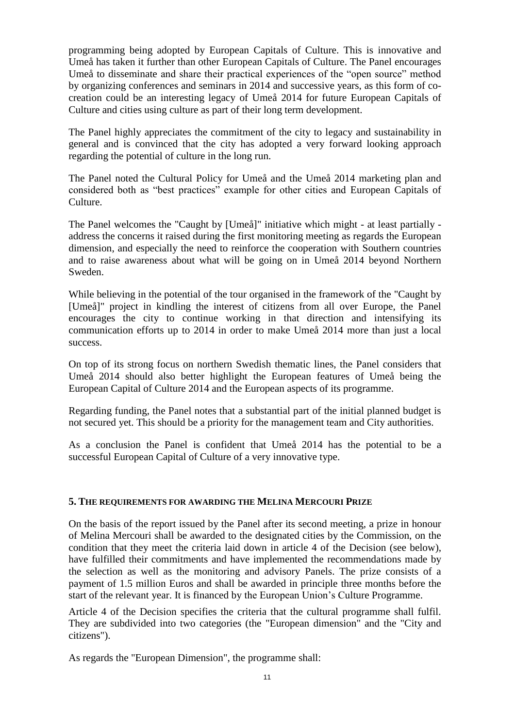programming being adopted by European Capitals of Culture. This is innovative and Umeå has taken it further than other European Capitals of Culture. The Panel encourages Umeå to disseminate and share their practical experiences of the "open source" method by organizing conferences and seminars in 2014 and successive years, as this form of cocreation could be an interesting legacy of Umeå 2014 for future European Capitals of Culture and cities using culture as part of their long term development.

The Panel highly appreciates the commitment of the city to legacy and sustainability in general and is convinced that the city has adopted a very forward looking approach regarding the potential of culture in the long run.

The Panel noted the Cultural Policy for Umeå and the Umeå 2014 marketing plan and considered both as "best practices" example for other cities and European Capitals of Culture.

The Panel welcomes the "Caught by [Umeå]" initiative which might - at least partially address the concerns it raised during the first monitoring meeting as regards the European dimension, and especially the need to reinforce the cooperation with Southern countries and to raise awareness about what will be going on in Umeå 2014 beyond Northern Sweden.

While believing in the potential of the tour organised in the framework of the "Caught by [Umeå]" project in kindling the interest of citizens from all over Europe, the Panel encourages the city to continue working in that direction and intensifying its communication efforts up to 2014 in order to make Umeå 2014 more than just a local success.

On top of its strong focus on northern Swedish thematic lines, the Panel considers that Umeå 2014 should also better highlight the European features of Umeå being the European Capital of Culture 2014 and the European aspects of its programme.

Regarding funding, the Panel notes that a substantial part of the initial planned budget is not secured yet. This should be a priority for the management team and City authorities.

As a conclusion the Panel is confident that Umeå 2014 has the potential to be a successful European Capital of Culture of a very innovative type.

#### <span id="page-10-0"></span>**5. THE REQUIREMENTS FOR AWARDING THE MELINA MERCOURI PRIZE**

On the basis of the report issued by the Panel after its second meeting, a prize in honour of Melina Mercouri shall be awarded to the designated cities by the Commission, on the condition that they meet the criteria laid down in article 4 of the Decision (see below), have fulfilled their commitments and have implemented the recommendations made by the selection as well as the monitoring and advisory Panels. The prize consists of a payment of 1.5 million Euros and shall be awarded in principle three months before the start of the relevant year. It is financed by the European Union's Culture Programme.

Article 4 of the Decision specifies the criteria that the cultural programme shall fulfil. They are subdivided into two categories (the "European dimension" and the "City and citizens").

As regards the "European Dimension", the programme shall: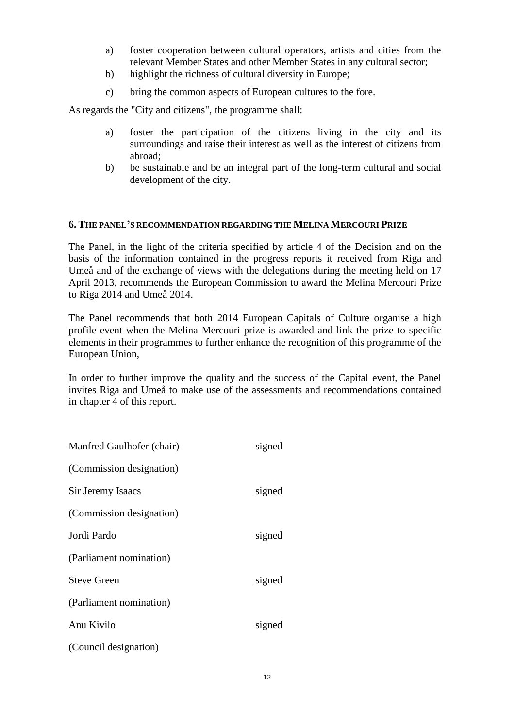- a) foster cooperation between cultural operators, artists and cities from the relevant Member States and other Member States in any cultural sector;
- b) highlight the richness of cultural diversity in Europe;
- c) bring the common aspects of European cultures to the fore.

As regards the "City and citizens", the programme shall:

- a) foster the participation of the citizens living in the city and its surroundings and raise their interest as well as the interest of citizens from abroad;
- b) be sustainable and be an integral part of the long-term cultural and social development of the city.

#### <span id="page-11-0"></span>**6. THE PANEL'S RECOMMENDATION REGARDING THE MELINA MERCOURI PRIZE**

The Panel, in the light of the criteria specified by article 4 of the Decision and on the basis of the information contained in the progress reports it received from Riga and Umeå and of the exchange of views with the delegations during the meeting held on 17 April 2013, recommends the European Commission to award the Melina Mercouri Prize to Riga 2014 and Umeå 2014.

The Panel recommends that both 2014 European Capitals of Culture organise a high profile event when the Melina Mercouri prize is awarded and link the prize to specific elements in their programmes to further enhance the recognition of this programme of the European Union,

In order to further improve the quality and the success of the Capital event, the Panel invites Riga and Umeå to make use of the assessments and recommendations contained in chapter 4 of this report.

| Manfred Gaulhofer (chair) | signed |
|---------------------------|--------|
| (Commission designation)  |        |
| Sir Jeremy Isaacs         | signed |
| (Commission designation)  |        |
| Jordi Pardo               | signed |
| (Parliament nomination)   |        |
| <b>Steve Green</b>        | signed |
| (Parliament nomination)   |        |
| Anu Kivilo                | signed |
| (Council designation)     |        |